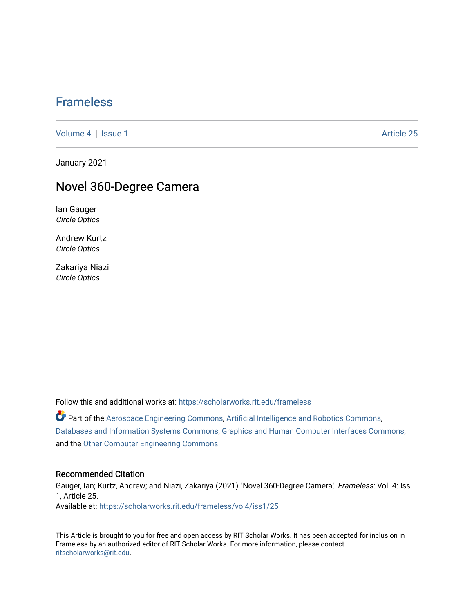# [Frameless](https://scholarworks.rit.edu/frameless)

[Volume 4](https://scholarworks.rit.edu/frameless/vol4) | [Issue 1](https://scholarworks.rit.edu/frameless/vol4/iss1) Article 25

January 2021

# Novel 360-Degree Camera

Ian Gauger Circle Optics

Andrew Kurtz Circle Optics

Zakariya Niazi Circle Optics

Follow this and additional works at: [https://scholarworks.rit.edu/frameless](https://scholarworks.rit.edu/frameless?utm_source=scholarworks.rit.edu%2Fframeless%2Fvol4%2Fiss1%2F25&utm_medium=PDF&utm_campaign=PDFCoverPages)

Part of the [Aerospace Engineering Commons](https://network.bepress.com/hgg/discipline/218?utm_source=scholarworks.rit.edu%2Fframeless%2Fvol4%2Fiss1%2F25&utm_medium=PDF&utm_campaign=PDFCoverPages), [Artificial Intelligence and Robotics Commons](https://network.bepress.com/hgg/discipline/143?utm_source=scholarworks.rit.edu%2Fframeless%2Fvol4%2Fiss1%2F25&utm_medium=PDF&utm_campaign=PDFCoverPages), [Databases and Information Systems Commons](https://network.bepress.com/hgg/discipline/145?utm_source=scholarworks.rit.edu%2Fframeless%2Fvol4%2Fiss1%2F25&utm_medium=PDF&utm_campaign=PDFCoverPages), [Graphics and Human Computer Interfaces Commons](https://network.bepress.com/hgg/discipline/146?utm_source=scholarworks.rit.edu%2Fframeless%2Fvol4%2Fiss1%2F25&utm_medium=PDF&utm_campaign=PDFCoverPages), and the [Other Computer Engineering Commons](https://network.bepress.com/hgg/discipline/265?utm_source=scholarworks.rit.edu%2Fframeless%2Fvol4%2Fiss1%2F25&utm_medium=PDF&utm_campaign=PDFCoverPages) 

#### Recommended Citation

Gauger, Ian; Kurtz, Andrew; and Niazi, Zakariya (2021) "Novel 360-Degree Camera," Frameless: Vol. 4: Iss. 1, Article 25. Available at: [https://scholarworks.rit.edu/frameless/vol4/iss1/25](https://scholarworks.rit.edu/frameless/vol4/iss1/25?utm_source=scholarworks.rit.edu%2Fframeless%2Fvol4%2Fiss1%2F25&utm_medium=PDF&utm_campaign=PDFCoverPages) 

This Article is brought to you for free and open access by RIT Scholar Works. It has been accepted for inclusion in Frameless by an authorized editor of RIT Scholar Works. For more information, please contact [ritscholarworks@rit.edu](mailto:ritscholarworks@rit.edu).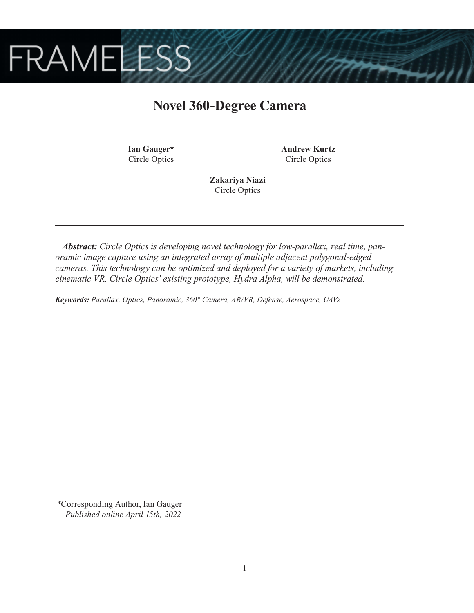

# **Novel 360-Degree Camera**

**Ian Gauger\*** Circle Optics **Andrew Kurtz** Circle Optics

**Zakariya Niazi** Circle Optics

*Abstract: Circle Optics is developing novel technology for low-parallax, real time, panoramic image capture using an integrated array of multiple adjacent polygonal-edged cameras. This technology can be optimized and deployed for a variety of markets, including cinematic VR. Circle Optics' existing prototype, Hydra Alpha, will be demonstrated.*

*Keywords: Parallax, Optics, Panoramic, 360° Camera, AR/VR, Defense, Aerospace, UAVs*

*<sup>\*</sup>*Corresponding Author, Ian Gauger  *Published online April 15th, 2022*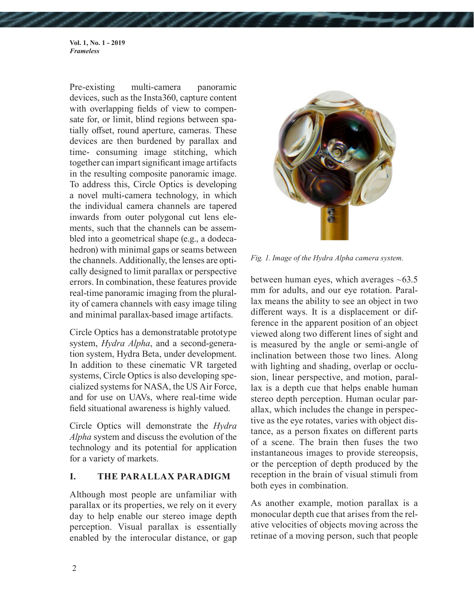**Vol. 1, No. 1 - 2019** *Frameless*

Pre-existing multi-camera panoramic devices, such as the Insta360, capture content with overlapping fields of view to compensate for, or limit, blind regions between spatially offset, round aperture, cameras. These devices are then burdened by parallax and time- consuming image stitching, which together can impart significant image artifacts in the resulting composite panoramic image. To address this, Circle Optics is developing a novel multi-camera technology, in which the individual camera channels are tapered inwards from outer polygonal cut lens elements, such that the channels can be assembled into a geometrical shape (e.g., a dodecahedron) with minimal gaps or seams between the channels. Additionally, the lenses are optically designed to limit parallax or perspective errors. In combination, these features provide real-time panoramic imaging from the plurality of camera channels with easy image tiling and minimal parallax-based image artifacts.

Circle Optics has a demonstratable prototype system, *Hydra Alpha*, and a second-generation system, Hydra Beta, under development. In addition to these cinematic VR targeted systems, Circle Optics is also developing specialized systems for NASA, the US Air Force, and for use on UAVs, where real-time wide field situational awareness is highly valued.

Circle Optics will demonstrate the *Hydra Alpha* system and discuss the evolution of the technology and its potential for application for a variety of markets.

#### **I. THE PARALLAX PARADIGM**

Although most people are unfamiliar with parallax or its properties, we rely on it every day to help enable our stereo image depth perception. Visual parallax is essentially enabled by the interocular distance, or gap



*Fig. 1. Image of the Hydra Alpha camera system.*

between human eyes, which averages  $~163.5$ mm for adults, and our eye rotation. Parallax means the ability to see an object in two different ways. It is a displacement or difference in the apparent position of an object viewed along two different lines of sight and is measured by the angle or semi-angle of inclination between those two lines. Along with lighting and shading, overlap or occlusion, linear perspective, and motion, parallax is a depth cue that helps enable human stereo depth perception. Human ocular parallax, which includes the change in perspective as the eye rotates, varies with object distance, as a person fixates on different parts of a scene. The brain then fuses the two instantaneous images to provide stereopsis, or the perception of depth produced by the reception in the brain of visual stimuli from both eyes in combination.

As another example, motion parallax is a monocular depth cue that arises from the relative velocities of objects moving across the retinae of a moving person, such that people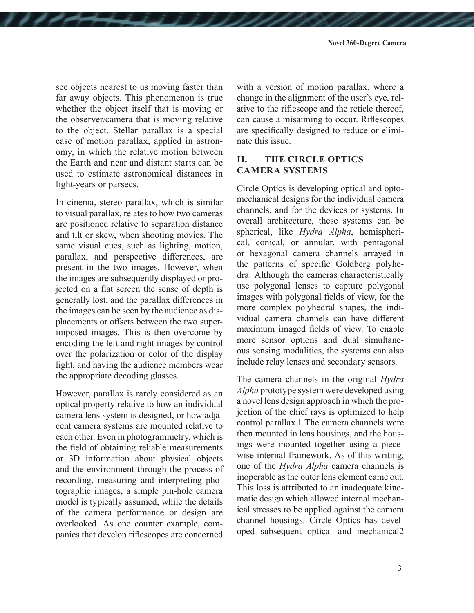see objects nearest to us moving faster than far away objects. This phenomenon is true whether the object itself that is moving or the observer/camera that is moving relative to the object. Stellar parallax is a special case of motion parallax, applied in astronomy, in which the relative motion between the Earth and near and distant starts can be used to estimate astronomical distances in light-years or parsecs.

In cinema, stereo parallax, which is similar to visual parallax, relates to how two cameras are positioned relative to separation distance and tilt or skew, when shooting movies. The same visual cues, such as lighting, motion, parallax, and perspective differences, are present in the two images. However, when the images are subsequently displayed or projected on a flat screen the sense of depth is generally lost, and the parallax differences in the images can be seen by the audience as displacements or offsets between the two superimposed images. This is then overcome by encoding the left and right images by control over the polarization or color of the display light, and having the audience members wear the appropriate decoding glasses.

However, parallax is rarely considered as an optical property relative to how an individual camera lens system is designed, or how adjacent camera systems are mounted relative to each other. Even in photogrammetry, which is the field of obtaining reliable measurements or 3D information about physical objects and the environment through the process of recording, measuring and interpreting photographic images, a simple pin-hole camera model is typically assumed, while the details of the camera performance or design are overlooked. As one counter example, companies that develop riflescopes are concerned with a version of motion parallax, where a change in the alignment of the user's eye, relative to the riflescope and the reticle thereof, can cause a misaiming to occur. Riflescopes are specifically designed to reduce or eliminate this issue.

### **II. THE CIRCLE OPTICS CAMERA SYSTEMS**

Circle Optics is developing optical and optomechanical designs for the individual camera channels, and for the devices or systems. In overall architecture, these systems can be spherical, like *Hydra Alpha*, hemispherical, conical, or annular, with pentagonal or hexagonal camera channels arrayed in the patterns of specific Goldberg polyhedra. Although the cameras characteristically use polygonal lenses to capture polygonal images with polygonal fields of view, for the more complex polyhedral shapes, the individual camera channels can have different maximum imaged fields of view. To enable more sensor options and dual simultaneous sensing modalities, the systems can also include relay lenses and secondary sensors.

The camera channels in the original *Hydra Alpha* prototype system were developed using a novel lens design approach in which the projection of the chief rays is optimized to help control parallax.1 The camera channels were then mounted in lens housings, and the housings were mounted together using a piecewise internal framework. As of this writing, one of the *Hydra Alpha* camera channels is inoperable as the outer lens element came out. This loss is attributed to an inadequate kinematic design which allowed internal mechanical stresses to be applied against the camera channel housings. Circle Optics has developed subsequent optical and mechanical2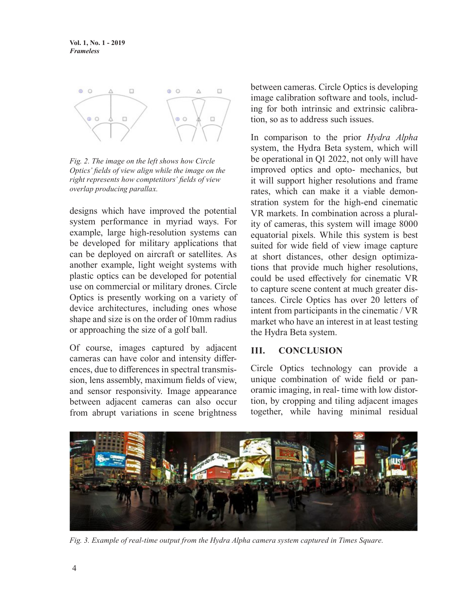

*Fig. 2. The image on the left shows how Circle Optics' fields of view align while the image on the right represents how comptetitors' fields of view overlap producing parallax.*

designs which have improved the potential system performance in myriad ways. For example, large high-resolution systems can be developed for military applications that can be deployed on aircraft or satellites. As another example, light weight systems with plastic optics can be developed for potential use on commercial or military drones. Circle Optics is presently working on a variety of device architectures, including ones whose shape and size is on the order of 10mm radius or approaching the size of a golf ball.

Of course, images captured by adjacent cameras can have color and intensity differences, due to differences in spectral transmission, lens assembly, maximum fields of view, and sensor responsivity. Image appearance between adjacent cameras can also occur from abrupt variations in scene brightness

between cameras. Circle Optics is developing image calibration software and tools, including for both intrinsic and extrinsic calibration, so as to address such issues.

In comparison to the prior *Hydra Alpha* system, the Hydra Beta system, which will be operational in Q1 2022, not only will have improved optics and opto- mechanics, but it will support higher resolutions and frame rates, which can make it a viable demonstration system for the high-end cinematic VR markets. In combination across a plurality of cameras, this system will image 8000 equatorial pixels. While this system is best suited for wide field of view image capture at short distances, other design optimizations that provide much higher resolutions, could be used effectively for cinematic VR to capture scene content at much greater distances. Circle Optics has over 20 letters of intent from participants in the cinematic / VR market who have an interest in at least testing the Hydra Beta system.

### **III. CONCLUSION**

Circle Optics technology can provide a unique combination of wide field or panoramic imaging, in real- time with low distortion, by cropping and tiling adjacent images together, while having minimal residual



*Fig. 3. Example of real-time output from the Hydra Alpha camera system captured in Times Square.*